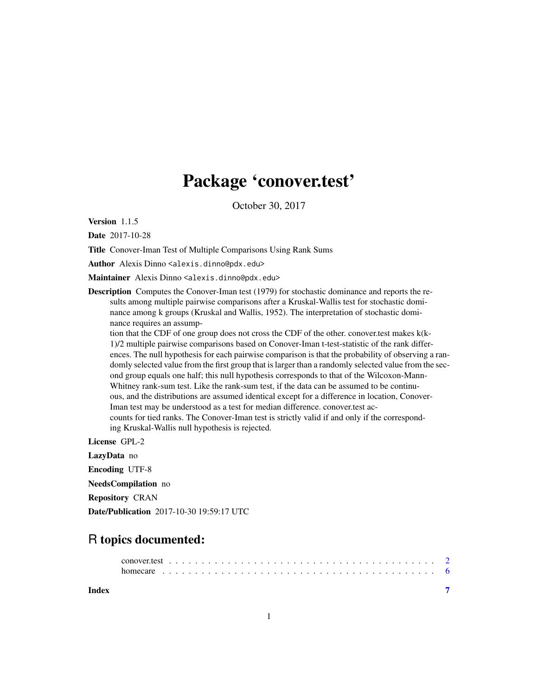## Package 'conover.test'

October 30, 2017

Version 1.1.5

Date 2017-10-28

Title Conover-Iman Test of Multiple Comparisons Using Rank Sums

Author Alexis Dinno <alexis.dinno@pdx.edu>

Maintainer Alexis Dinno <alexis.dinno@pdx.edu>

Description Computes the Conover-Iman test (1979) for stochastic dominance and reports the results among multiple pairwise comparisons after a Kruskal-Wallis test for stochastic dominance among k groups (Kruskal and Wallis, 1952). The interpretation of stochastic dominance requires an assump-

tion that the CDF of one group does not cross the CDF of the other. conover.test makes k(k-1)/2 multiple pairwise comparisons based on Conover-Iman t-test-statistic of the rank differences. The null hypothesis for each pairwise comparison is that the probability of observing a randomly selected value from the first group that is larger than a randomly selected value from the second group equals one half; this null hypothesis corresponds to that of the Wilcoxon-Mann-Whitney rank-sum test. Like the rank-sum test, if the data can be assumed to be continuous, and the distributions are assumed identical except for a difference in location, Conover-Iman test may be understood as a test for median difference. conover.test accounts for tied ranks. The Conover-Iman test is strictly valid if and only if the corresponding Kruskal-Wallis null hypothesis is rejected.

License GPL-2 LazyData no Encoding UTF-8 NeedsCompilation no

Repository CRAN

Date/Publication 2017-10-30 19:59:17 UTC

### R topics documented:

**Index** [7](#page-6-0) **7**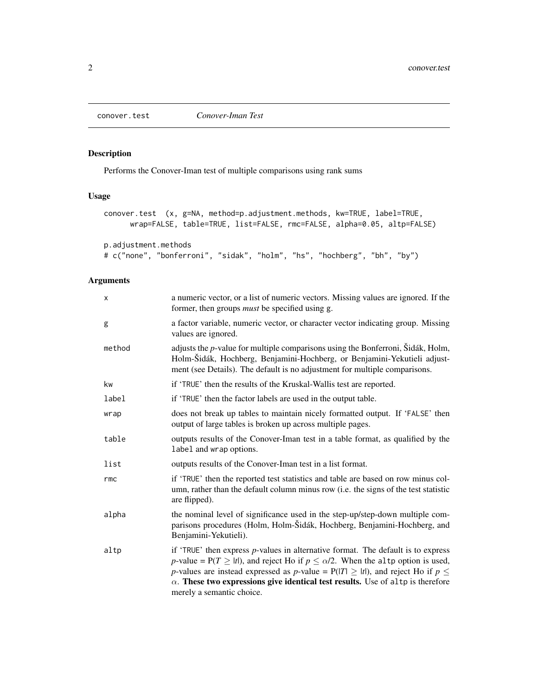<span id="page-1-0"></span>

#### Description

Performs the Conover-Iman test of multiple comparisons using rank sums

#### Usage

```
conover.test (x, g=NA, method=p.adjustment.methods, kw=TRUE, label=TRUE,
     wrap=FALSE, table=TRUE, list=FALSE, rmc=FALSE, alpha=0.05, altp=FALSE)
```
p.adjustment.methods

```
# c("none", "bonferroni", "sidak", "holm", "hs", "hochberg", "bh", "by")
```
#### Arguments

| x      | a numeric vector, or a list of numeric vectors. Missing values are ignored. If the<br>former, then groups <i>must</i> be specified using g.                                                                                                                                                                                                                                                                   |
|--------|---------------------------------------------------------------------------------------------------------------------------------------------------------------------------------------------------------------------------------------------------------------------------------------------------------------------------------------------------------------------------------------------------------------|
| g      | a factor variable, numeric vector, or character vector indicating group. Missing<br>values are ignored.                                                                                                                                                                                                                                                                                                       |
| method | adjusts the $p$ -value for multiple comparisons using the Bonferroni, Šidák, Holm,<br>Holm-Šidák, Hochberg, Benjamini-Hochberg, or Benjamini-Yekutieli adjust-<br>ment (see Details). The default is no adjustment for multiple comparisons.                                                                                                                                                                  |
| kw     | if 'TRUE' then the results of the Kruskal-Wallis test are reported.                                                                                                                                                                                                                                                                                                                                           |
| label  | if 'TRUE' then the factor labels are used in the output table.                                                                                                                                                                                                                                                                                                                                                |
| wrap   | does not break up tables to maintain nicely formatted output. If 'FALSE' then<br>output of large tables is broken up across multiple pages.                                                                                                                                                                                                                                                                   |
| table  | outputs results of the Conover-Iman test in a table format, as qualified by the<br>label and wrap options.                                                                                                                                                                                                                                                                                                    |
| list   | outputs results of the Conover-Iman test in a list format.                                                                                                                                                                                                                                                                                                                                                    |
| rmc    | if 'TRUE' then the reported test statistics and table are based on row minus col-<br>umn, rather than the default column minus row (i.e. the signs of the test statistic<br>are flipped).                                                                                                                                                                                                                     |
| alpha  | the nominal level of significance used in the step-up/step-down multiple com-<br>parisons procedures (Holm, Holm-Šidák, Hochberg, Benjamini-Hochberg, and<br>Benjamini-Yekutieli).                                                                                                                                                                                                                            |
| altp   | if 'TRUE' then express $p$ -values in alternative format. The default is to express<br><i>p</i> -value = $P(T \ge  t )$ , and reject Ho if $p \le \alpha/2$ . When the altp option is used,<br>p-values are instead expressed as p-value = $P( T  \ge  t )$ , and reject Ho if $p \le$<br>$\alpha$ . These two expressions give identical test results. Use of altp is therefore<br>merely a semantic choice. |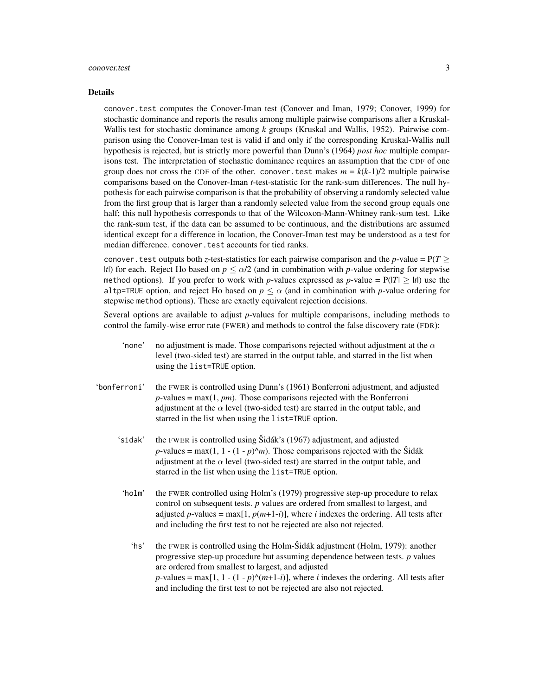#### conover.test 3

#### Details

conover.test computes the Conover-Iman test (Conover and Iman, 1979; Conover, 1999) for stochastic dominance and reports the results among multiple pairwise comparisons after a Kruskal-Wallis test for stochastic dominance among *k* groups (Kruskal and Wallis, 1952). Pairwise comparison using the Conover-Iman test is valid if and only if the corresponding Kruskal-Wallis null hypothesis is rejected, but is strictly more powerful than Dunn's (1964) *post hoc* multiple comparisons test. The interpretation of stochastic dominance requires an assumption that the CDF of one group does not cross the CDF of the other. conover. test makes  $m = k(k-1)/2$  multiple pairwise comparisons based on the Conover-Iman *t*-test-statistic for the rank-sum differences. The null hypothesis for each pairwise comparison is that the probability of observing a randomly selected value from the first group that is larger than a randomly selected value from the second group equals one half; this null hypothesis corresponds to that of the Wilcoxon-Mann-Whitney rank-sum test. Like the rank-sum test, if the data can be assumed to be continuous, and the distributions are assumed identical except for a difference in location, the Conover-Iman test may be understood as a test for median difference. conover.test accounts for tied ranks.

conover. test outputs both *z*-test-statistics for each pairwise comparison and the *p*-value =  $P(T >$ |*t*|) for each. Reject Ho based on  $p \le \alpha/2$  (and in combination with *p*-value ordering for stepwise method options). If you prefer to work with *p*-values expressed as *p*-value =  $P(|T| \ge |t|)$  use the altp=TRUE option, and reject Ho based on  $p \leq \alpha$  (and in combination with *p*-value ordering for stepwise method options). These are exactly equivalent rejection decisions.

Several options are available to adjust *p*-values for multiple comparisons, including methods to control the family-wise error rate (FWER) and methods to control the false discovery rate (FDR):

- 'none' no adjustment is made. Those comparisons rejected without adjustment at the  $\alpha$ level (two-sided test) are starred in the output table, and starred in the list when using the list=TRUE option.
- 'bonferroni' the FWER is controlled using Dunn's (1961) Bonferroni adjustment, and adjusted  $p$ -values = max $(1, pm)$ . Those comparisons rejected with the Bonferroni adjustment at the  $\alpha$  level (two-sided test) are starred in the output table, and starred in the list when using the list=TRUE option.
	- 'sidak' the FWER is controlled using Šidák's (1967) adjustment, and adjusted *p*-values = max(1, 1 - (1 - *p*) $\land$ *m*). Those comparisons rejected with the Šidák adjustment at the  $\alpha$  level (two-sided test) are starred in the output table, and starred in the list when using the list=TRUE option.
	- 'holm' the FWER controlled using Holm's (1979) progressive step-up procedure to relax control on subsequent tests. *p* values are ordered from smallest to largest, and adjusted *p*-values = max $[1, p(m+1-i)]$ , where *i* indexes the ordering. All tests after and including the first test to not be rejected are also not rejected.
		- 'hs' the FWER is controlled using the Holm-Šidák adjustment (Holm, 1979): another progressive step-up procedure but assuming dependence between tests. *p* values are ordered from smallest to largest, and adjusted  $p$ -values = max[1, 1 - (1 -  $p$ ) $\land$ ( $m+1-i$ )], where *i* indexes the ordering. All tests after and including the first test to not be rejected are also not rejected.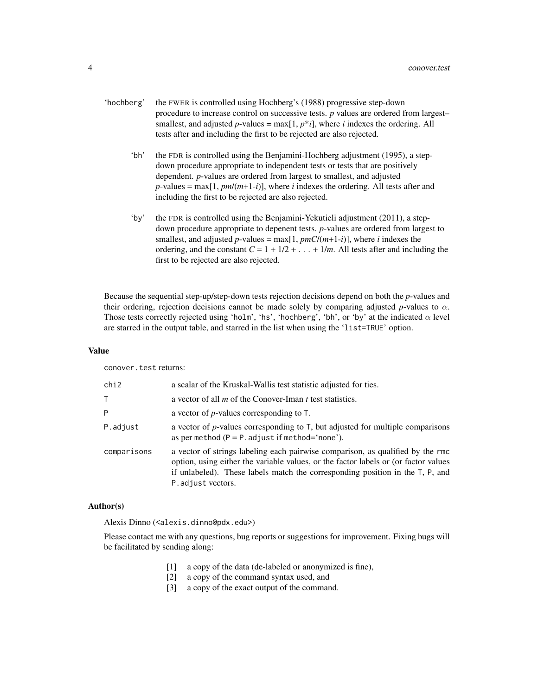- 'hochberg' the FWER is controlled using Hochberg's (1988) progressive step-down procedure to increase control on successive tests. *p* values are ordered from largest– smallest, and adjusted  $p$ -values = max $[1, p * i]$ , where *i* indexes the ordering. All tests after and including the first to be rejected are also rejected.
	- 'bh' the FDR is controlled using the Benjamini-Hochberg adjustment (1995), a stepdown procedure appropriate to independent tests or tests that are positively dependent. *p*-values are ordered from largest to smallest, and adjusted  $p$ -values = max[1,  $pm/(m+1-i)$ ], where *i* indexes the ordering. All tests after and including the first to be rejected are also rejected.
	- 'by' the FDR is controlled using the Benjamini-Yekutieli adjustment (2011), a stepdown procedure appropriate to depenent tests. *p*-values are ordered from largest to smallest, and adjusted  $p$ -values = max[1,  $pmC/(m+1-i)$ ], where *i* indexes the ordering, and the constant  $C = 1 + 1/2 + \ldots + 1/m$ . All tests after and including the first to be rejected are also rejected.

Because the sequential step-up/step-down tests rejection decisions depend on both the *p*-values and their ordering, rejection decisions cannot be made solely by comparing adjusted *p*-values to  $\alpha$ . Those tests correctly rejected using 'holm', 'hs', 'hochberg', 'bh', or 'by' at the indicated  $\alpha$  level are starred in the output table, and starred in the list when using the 'list=TRUE' option.

#### Value

conover.test returns:

| chi2        | a scalar of the Kruskal-Wallis test statistic adjusted for ties.                                                                                                                                                                                                             |
|-------------|------------------------------------------------------------------------------------------------------------------------------------------------------------------------------------------------------------------------------------------------------------------------------|
| Τ           | a vector of all $m$ of the Conover-Iman $t$ test statistics.                                                                                                                                                                                                                 |
| P           | a vector of $p$ -values corresponding to $T$ .                                                                                                                                                                                                                               |
| P.adjust    | a vector of $p$ -values corresponding to $T$ , but adjusted for multiple comparisons<br>as per method $(P = P \cdot adjust \text{ if method} = 'none').$                                                                                                                     |
| comparisons | a vector of strings labeling each pairwise comparison, as qualified by the rmc<br>option, using either the variable values, or the factor labels or (or factor values<br>if unlabeled). These labels match the corresponding position in the T, P, and<br>P. adjust vectors. |

#### Author(s)

Alexis Dinno (<alexis.dinno@pdx.edu>)

Please contact me with any questions, bug reports or suggestions for improvement. Fixing bugs will be facilitated by sending along:

- [1] a copy of the data (de-labeled or anonymized is fine),
- [2] a copy of the command syntax used, and
- [3] a copy of the exact output of the command.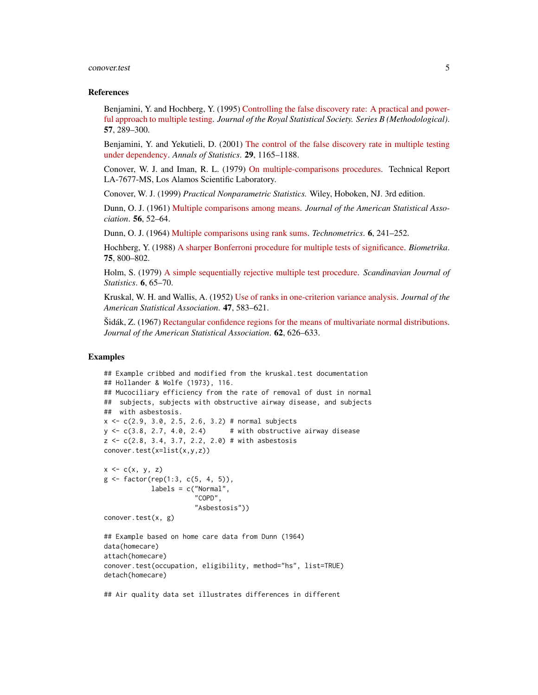#### conover.test 5

#### References

Benjamini, Y. and Hochberg, Y. (1995) [Controlling the false discovery rate: A practical and power](https://www.jstor.org/stable/2346101)[ful approach to multiple testing.](https://www.jstor.org/stable/2346101) *Journal of the Royal Statistical Society. Series B (Methodological)*. 57, 289–300.

Benjamini, Y. and Yekutieli, D. (2001) [The control of the false discovery rate in multiple testing](https://www.jstor.org/stable/2674075) [under dependency.](https://www.jstor.org/stable/2674075) *Annals of Statistics*. 29, 1165–1188.

Conover, W. J. and Iman, R. L. (1979) [On multiple-comparisons procedures.](http://permalink.lanl.gov/object/tr?what=info:lanl-repo/lareport/LA-07677-MS) Technical Report LA-7677-MS, Los Alamos Scientific Laboratory.

Conover, W. J. (1999) *Practical Nonparametric Statistics.* Wiley, Hoboken, NJ. 3rd edition.

Dunn, O. J. (1961) [Multiple comparisons among means.](https://sci-hub.io) *Journal of the American Statistical Association*. 56, 52–64.

Dunn, O. J. (1964) [Multiple comparisons using rank sums.](https://sci-hub.io) *Technometrics*. 6, 241–252.

Hochberg, Y. (1988) [A sharper Bonferroni procedure for multiple tests of significance.](https://sci-hub.io) *Biometrika*. 75, 800–802.

Holm, S. (1979) [A simple sequentially rejective multiple test procedure.](https://www.jstor.org/stable/4615733) *Scandinavian Journal of Statistics*. 6, 65–70.

Kruskal, W. H. and Wallis, A. (1952) [Use of ranks in one-criterion variance analysis.](https://sci-hub.io) *Journal of the American Statistical Association*. 47, 583–621.

Šidák, Z. (1967) [Rectangular confidence regions for the means of multivariate normal distributions.](https://sci-hub.io) *Journal of the American Statistical Association*. 62, 626–633.

#### Examples

```
## Example cribbed and modified from the kruskal.test documentation
## Hollander & Wolfe (1973), 116.
## Mucociliary efficiency from the rate of removal of dust in normal
## subjects, subjects with obstructive airway disease, and subjects
## with asbestosis.
x \leq -c(2.9, 3.0, 2.5, 2.6, 3.2) # normal subjects
y \leq c(3.8, 2.7, 4.0, 2.4) # with obstructive airway disease
z \leq c(2.8, 3.4, 3.7, 2.2, 2.0) # with asbestosis
conover.test(x=list(x,y,z))
x \leftarrow c(x, y, z)g \leftarrow factor(rep(1:3, c(5, 4, 5)),labels = c("Normal",
                       "COPD",
                       "Asbestosis"))
conover.test(x, g)
## Example based on home care data from Dunn (1964)
data(homecare)
attach(homecare)
conover.test(occupation, eligibility, method="hs", list=TRUE)
detach(homecare)
## Air quality data set illustrates differences in different
```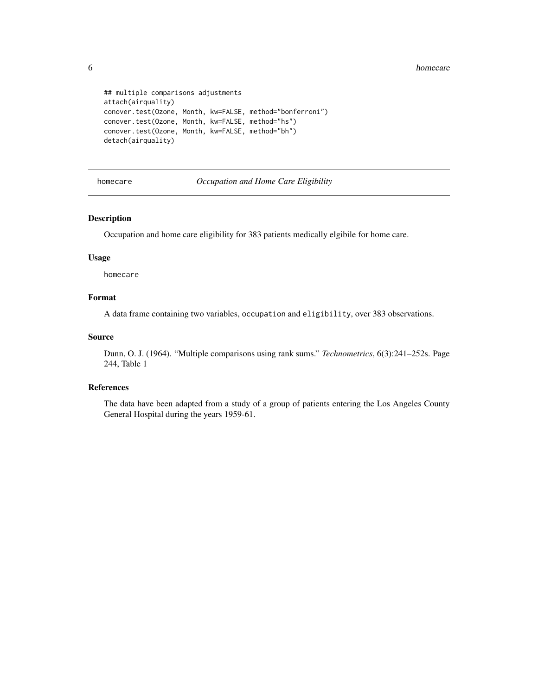```
## multiple comparisons adjustments
attach(airquality)
conover.test(Ozone, Month, kw=FALSE, method="bonferroni")
conover.test(Ozone, Month, kw=FALSE, method="hs")
conover.test(Ozone, Month, kw=FALSE, method="bh")
detach(airquality)
```
homecare *Occupation and Home Care Eligibility*

#### Description

Occupation and home care eligibility for 383 patients medically elgibile for home care.

#### Usage

homecare

#### Format

A data frame containing two variables, occupation and eligibility, over 383 observations.

#### Source

Dunn, O. J. (1964). "Multiple comparisons using rank sums." *Technometrics*, 6(3):241–252s. Page 244, Table 1

#### References

The data have been adapted from a study of a group of patients entering the Los Angeles County General Hospital during the years 1959-61.

<span id="page-5-0"></span>